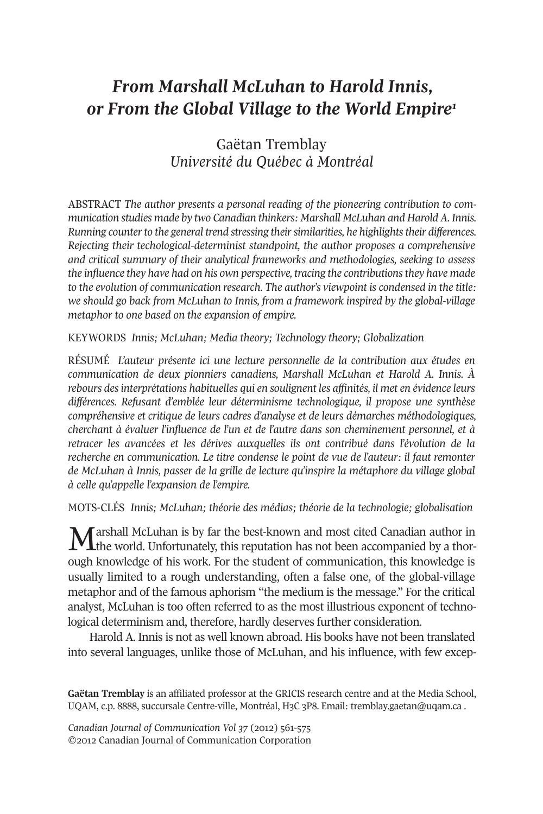# *From Marshall McLuhan to Harold Innis, or From the Global Village to the World Empire1*

# Gaëtan Tremblay *Université du Québec à Montréal*

AbSTRACT *The author presents a personal reading of the pioneering contribution to communication studies made by two Canadian thinkers: Marshall McLuhan and Harold A. Innis. Running counter to the general trend stressing their similarities, he highlights their differences. Rejecting their techological-determinist standpoint, the author proposes a comprehensive and critical summary of their analytical frameworks and methodologies, seeking to assess the influence they have had on his own perspective, tracing the contributionsthey have made to the evolution of communication research. The author's viewpoint is condensed in the title: we should go back from McLuhan to Innis, from a framework inspired by the global-village metaphor to one based on the expansion of empire.*

KEywoRdS *Innis; McLuhan; Media theory; Technology theory; Globalization*

RéSUMé *L'auteur présente ici une lecture personnelle de la contribution aux études en communication de deux pionniers canadiens, Marshall McLuhan et Harold A. Innis. À rebours desinterprétations habituelles qui en soulignent les affinités, il met en évidence leurs différences. Refusant d'emblée leur déterminisme technologique, il propose une synthèse compréhensive et critique de leurs cadres d'analyse et de leurs démarches méthodologiques, cherchant à évaluer l'influence de l'un et de l'autre dans son cheminement personnel, et à retracer les avancées et les dérives auxquelles ils ont contribué dans l'évolution de la recherche en communication. Le titre condense le point de vue de l'auteur: il faut remonter de McLuhan à Innis, passer de la grille de lecture qu'inspire la métaphore du village global à celle qu'appelle l'expansion de l'empire.*

MoTS-CléS *Innis; McLuhan; théorie des médias; théorie de la technologie; globalisation*

 $M$ arshall McLuhan is by far the best-known and most cited Canadian author in the world. Unfortunately, this reputation has not been accompanied by a thorough knowledge of his work. For the student of communication, this knowledge is usually limited to a rough understanding, often a false one, of the global-village metaphor and of the famous aphorism "the medium is the message." For the critical analyst, Mcluhan is too often referred to as the most illustrious exponent of technological determinism and, therefore, hardly deserves further consideration.

Harold A. Innis is not as well known abroad. His books have not been translated into several languages, unlike those of Mcluhan, and his influence, with few excep-

*Canadian Journal of Communication Vol 37* (2012) 561-575 ©2012 Canadian Journal of Communication Corporation

**Gaëtan Tremblay** is an affiliated professor at the GRICIS research centre and at the Media School, UQAM, c.p. 8888, succursale Centre-ville, Montréal, H3C 3P8. Email: [tremblay.gaetan@uqam.ca](mailto:tremblay.gaetan@uqam.ca) .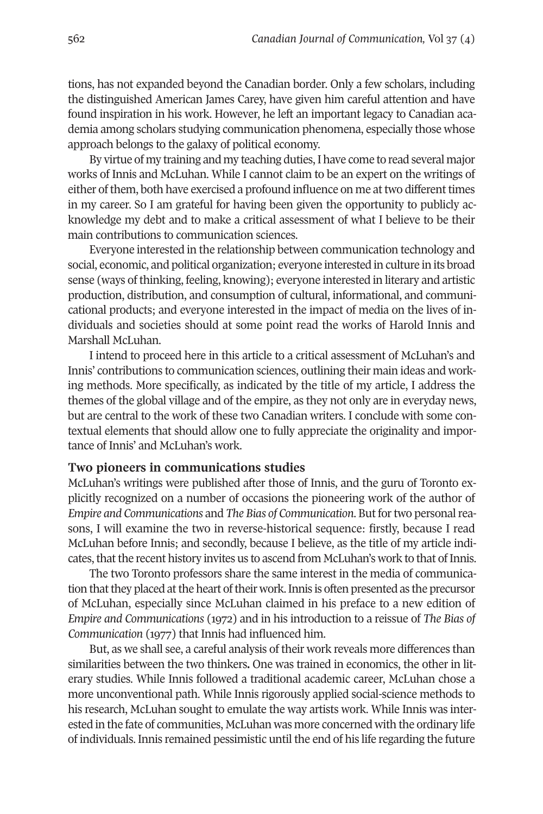tions, has not expanded beyond the Canadian border. only a few scholars, including the distinguished American James Carey, have given him careful attention and have found inspiration in his work. However, he left an important legacy to Canadian academia among scholars studying communication phenomena, especially those whose approach belongs to the galaxy of political economy.

By virtue of my training and my teaching duties, I have come to read several major works of Innis and Mcluhan. while I cannot claim to be an expert on the writings of either of them, both have exercised a profound influence on me at two different times in my career. So I am grateful for having been given the opportunity to publicly acknowledge my debt and to make a critical assessment of what I believe to be their main contributions to communication sciences.

Everyone interested in the relationship between communication technology and social, economic, and political organization; everyone interested in culture in its broad sense (ways of thinking, feeling, knowing); everyone interested in literary and artistic production, distribution, and consumption of cultural, informational, and communicational products; and everyone interested in the impact of media on the lives of individuals and societies should at some point read the works of Harold Innis and Marshall Mcluhan.

I intend to proceed here in this article to a critical assessment of Mcluhan's and Innis' contributions to communication sciences, outlining their main ideas and working methods. More specifically, as indicated by the title of my article, I address the themes of the global village and of the empire, as they not only are in everyday news, but are central to the work of these two Canadian writers. I conclude with some contextual elements that should allow one to fully appreciate the originality and importance of Innis' and Mcluhan's work.

#### **Two pioneers in communications studies**

Mcluhan's writings were published after those of Innis, and the guru of Toronto explicitly recognized on a number of occasions the pioneering work of the author of *Empire* and *Communications* and *The Bias of Communication*. But for two personal reasons, I will examine the two in reverse-historical sequence: firstly, because I read Mcluhan before Innis; and secondly, because I believe, as the title of my article indicates, that the recent history invites us to ascend from McLuhan's work to that of Innis.

The two Toronto professors share the same interest in the media of communication that they placed at the heart of their work. Innis is often presented as the precursor of Mcluhan, especially since Mcluhan claimed in his preface to a new edition of *Empire and Communications* (1972) and in his introduction to a reissue of *The Bias of Communication* (1977) that Innis had influenced him.

but, as we shall see, a careful analysis of their work reveals more differences than similarities between the two thinkers**.** one was trained in economics, the other in literary studies. while Innis followed a traditional academic career, Mcluhan chose a more unconventional path. while Innis rigorously applied social-science methods to his research, Mcluhan sought to emulate the way artists work. while Innis was interested in the fate of communities, Mcluhan was more concerned with the ordinary life of individuals. Innis remained pessimistic until the end of his life regarding the future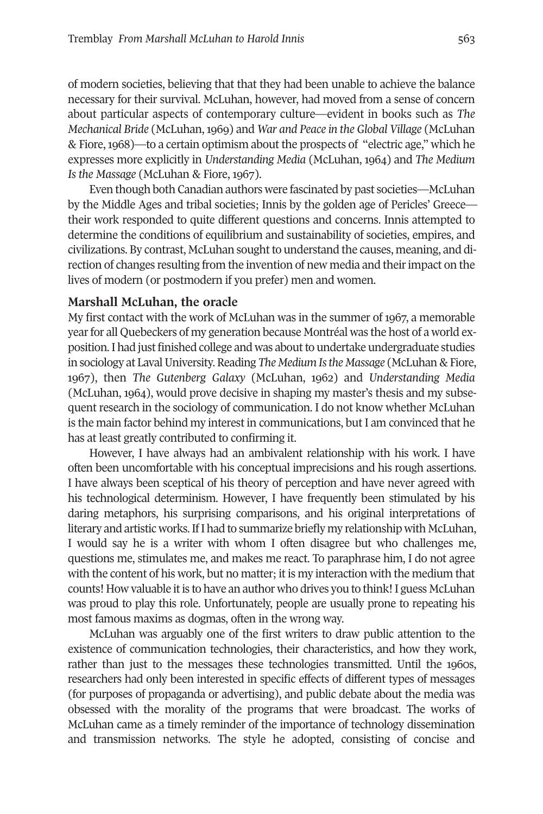of modern societies, believing that that they had been unable to achieve the balance necessary for their survival. Mcluhan, however, had moved from a sense of concern about particular aspects of contemporary culture—evident in books such as *The Mechanical Bride* (Mcluhan,1969) and *War and Peace in the Global Village* (Mcluhan & Fiore,1968)—to a certain optimism about the prospects of "electric age," which he expresses more explicitly in *Understanding Media* (Mcluhan, 1964) and *The Medium Is the Massage* (Mcluhan & Fiore, 1967).

Even though both Canadian authors were fascinated by past societies—Mcluhan by the Middle Ages and tribal societies; Innis by the golden age of Pericles' Greece their work responded to quite different questions and concerns. Innis attempted to determine the conditions of equilibrium and sustainability of societies, empires, and civilizations. By contrast, McLuhan sought to understand the causes, meaning, and direction of changes resulting from the invention of new media and their impact on the lives of modern (or postmodern if you prefer) men and women.

#### **Marshall McLuhan, the oracle**

My first contact with the work of Mcluhan was in the summer of 1967, a memorable year for all Quebeckers of my generation because Montréal was the host of a world exposition. I had just finished college and was about to undertake undergraduate studies in sociology at lavalUniversity.Reading *The Medium Isthe Massage* (Mcluhan & Fiore, 1967), then *The Gutenberg Galaxy* (Mcluhan, 1962) and *Understanding Media* (Mcluhan, 1964), would prove decisive in shaping my master's thesis and my subsequent research in the sociology of communication. I do not know whether Mcluhan is the main factor behind my interest in communications, but I am convinced that he has at least greatly contributed to confirming it.

However, I have always had an ambivalent relationship with his work. I have often been uncomfortable with his conceptual imprecisions and his rough assertions. I have always been sceptical of his theory of perception and have never agreed with his technological determinism. However, I have frequently been stimulated by his daring metaphors, his surprising comparisons, and his original interpretations of literary and artistic works.IfI had to summarize briefly my relationship with Mcluhan, I would say he is a writer with whom I often disagree but who challenges me, questions me, stimulates me, and makes me react. To paraphrase him, I do not agree with the content of his work, but no matter; it is my interaction with the medium that counts! How valuable it is to have an author who drives you to think! I guess McLuhan was proud to play this role. Unfortunately, people are usually prone to repeating his most famous maxims as dogmas, often in the wrong way.

Mcluhan was arguably one of the first writers to draw public attention to the existence of communication technologies, their characteristics, and how they work, rather than just to the messages these technologies transmitted. Until the 1960s, researchers had only been interested in specific effects of different types of messages (for purposes of propaganda or advertising), and public debate about the media was obsessed with the morality of the programs that were broadcast. The works of Mcluhan came as a timely reminder of the importance of technology dissemination and transmission networks. The style he adopted, consisting of concise and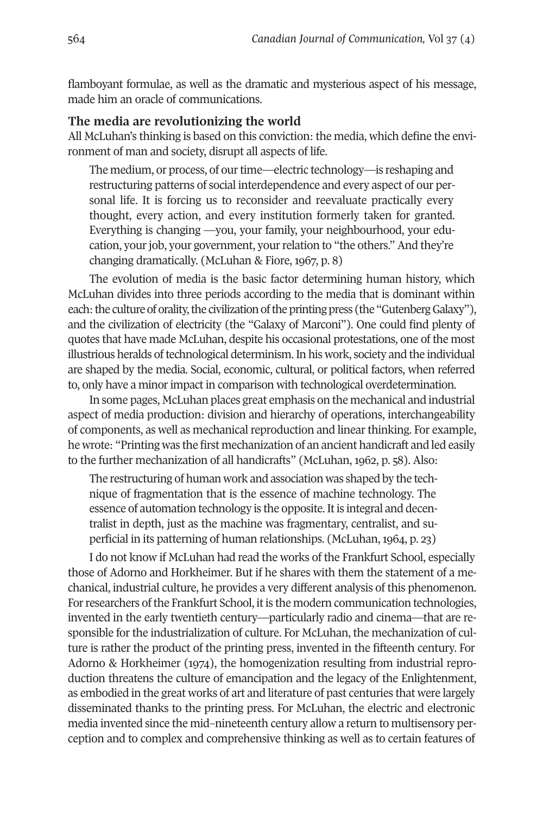flamboyant formulae, as well as the dramatic and mysterious aspect of his message, made him an oracle of communications.

#### **The media are revolutionizing the world**

All Mcluhan's thinking is based on this conviction: the media, which define the environment of man and society, disrupt all aspects of life.

The medium, or process, of our time—electric technology—is reshaping and restructuring patterns of social interdependence and every aspect of our personal life. It is forcing us to reconsider and reevaluate practically every thought, every action, and every institution formerly taken for granted. Everything is changing —you, your family, your neighbourhood, your education, your job, your government, your relation to "the others." And they're changing dramatically. (Mcluhan & Fiore, 1967, p. 8)

The evolution of media is the basic factor determining human history, which Mcluhan divides into three periods according to the media that is dominant within each: the culture of orality, the civilization of the printing press (the "Gutenberg Galaxy"), and the civilization of electricity (the "Galaxy of Marconi"). one could find plenty of quotes that have made Mcluhan, despite his occasional protestations, one of the most illustrious heralds of technological determinism. In his work, society and the individual are shaped by the media. Social, economic, cultural, or political factors, when referred to, only have a minor impact in comparison with technological overdetermination.

In some pages, Mcluhan places great emphasis on the mechanical and industrial aspect of media production: division and hierarchy of operations, interchangeability of components, as well as mechanical reproduction and linear thinking. For example, he wrote: "Printing was the first mechanization of an ancient handicraft and led easily to the further mechanization of all handicrafts" (Mcluhan, 1962, p. 58). Also:

The restructuring of human work and association was shaped by the technique of fragmentation that is the essence of machine technology. The essence of automation technology is the opposite. It is integral and decentralist in depth, just as the machine was fragmentary, centralist, and superficial in its patterning of human relationships. (Mcluhan, 1964, p. 23)

I do not know if Mcluhan had read the works of the Frankfurt School, especially those of Adorno and Horkheimer. but if he shares with them the statement of a mechanical, industrial culture, he provides a very different analysis of this phenomenon. For researchers of the Frankfurt School, it is the modern communication technologies, invented in the early twentieth century—particularly radio and cinema—that are responsible for the industrialization of culture. For Mcluhan, the mechanization of culture is rather the product of the printing press, invented in the fifteenth century. For Adorno & Horkheimer (1974), the homogenization resulting from industrial reproduction threatens the culture of emancipation and the legacy of the Enlightenment, as embodied in the great works of art and literature of past centuries that were largely disseminated thanks to the printing press. For Mcluhan, the electric and electronic media invented since the mid–nineteenth century allow a return to multisensory perception and to complex and comprehensive thinking as well as to certain features of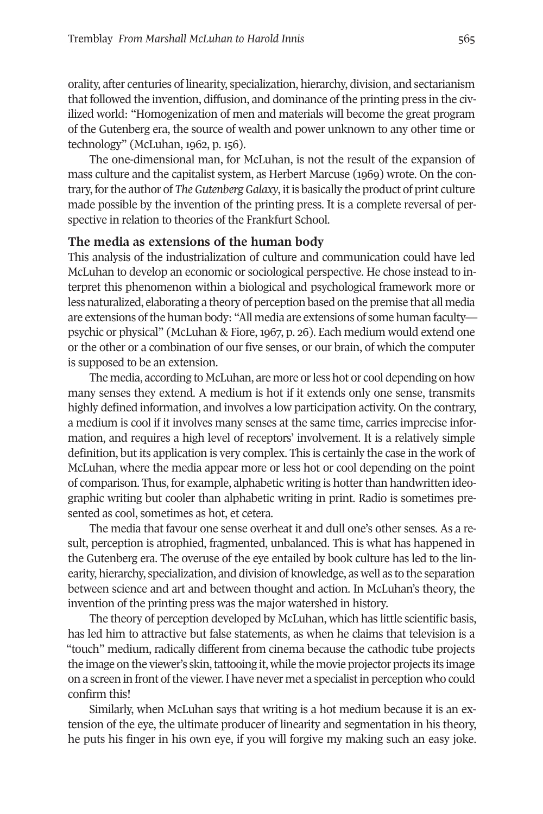orality, after centuries of linearity, specialization, hierarchy, division, and sectarianism that followed the invention, diffusion, and dominance of the printing press in the civilized world: "Homogenization of men and materials will become the great program of the Gutenberg era, the source of wealth and power unknown to any other time or technology" (Mcluhan, 1962, p. 156).

The one-dimensional man, for Mcluhan, is not the result of the expansion of mass culture and the capitalist system, as Herbert Marcuse (1969) wrote. on the contrary, forthe author of *TheGutenbergGalaxy*, itis basically the product of print culture made possible by the invention of the printing press. It is a complete reversal of perspective in relation to theories of the Frankfurt School.

#### **The media as extensions of the human body**

This analysis of the industrialization of culture and communication could have led Mcluhan to develop an economic or sociological perspective. He chose instead to interpret this phenomenon within a biological and psychological framework more or less naturalized, elaborating a theory of perception based on the premise that all media are extensions of the human body: "All media are extensions of some human facultypsychic or physical" (Mcluhan & Fiore, 1967, p. 26). Each medium would extend one or the other or a combination of our five senses, or our brain, of which the computer is supposed to be an extension.

The media, according to Mcluhan, are more orless hot or cool depending on how many senses they extend. A medium is hot if it extends only one sense, transmits highly defined information, and involves a low participation activity. On the contrary, a medium is cool if it involves many senses at the same time, carries imprecise information, and requires a high level of receptors' involvement. It is a relatively simple definition, but its application is very complex. This is certainly the case in the work of Mcluhan, where the media appear more or less hot or cool depending on the point of comparison. Thus, for example, alphabetic writing is hotterthan handwritten ideographic writing but cooler than alphabetic writing in print. Radio is sometimes presented as cool, sometimes as hot, et cetera.

The media that favour one sense overheat it and dull one's other senses. As a result, perception is atrophied, fragmented, unbalanced. This is what has happened in the Gutenberg era. The overuse of the eye entailed by book culture has led to the linearity, hierarchy, specialization, and division of knowledge, as well as to the separation between science and art and between thought and action. In Mcluhan's theory, the invention of the printing press was the major watershed in history.

The theory of perception developed by Mcluhan, which has little scientific basis, has led him to attractive but false statements, as when he claims that television is a "touch" medium, radically different from cinema because the cathodic tube projects the image on the viewer's skin, tattooing it, while the movie projector projects its image on a screen in front of the viewer. I have never met a specialist in perception who could confirm this!

Similarly, when Mcluhan says that writing is a hot medium because it is an extension of the eye, the ultimate producer of linearity and segmentation in his theory, he puts his finger in his own eye, if you will forgive my making such an easy joke.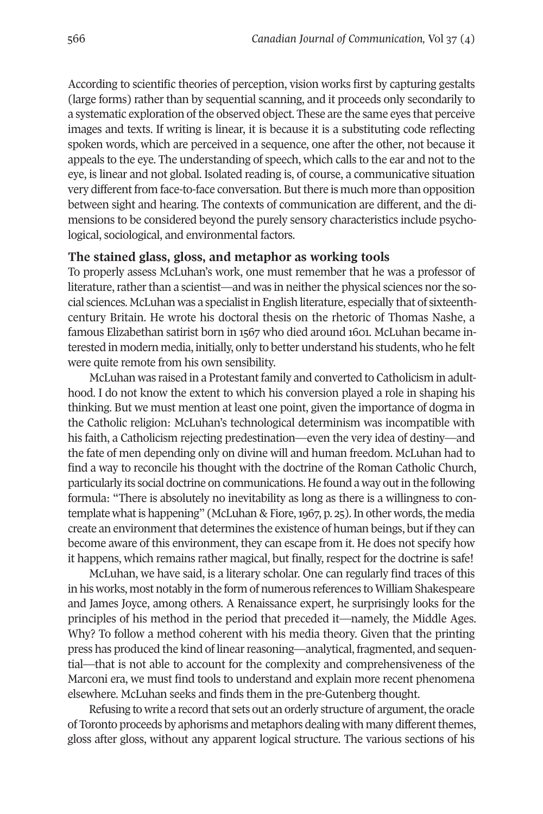According to scientific theories of perception, vision works first by capturing gestalts (large forms) rather than by sequential scanning, and it proceeds only secondarily to a systematic exploration of the observed object. These are the same eyes that perceive images and texts. If writing is linear, it is because it is a substituting code reflecting spoken words, which are perceived in a sequence, one after the other, not because it appeals to the eye. The understanding of speech, which calls to the ear and not to the eye, is linear and not global. Isolated reading is, of course, a communicative situation very different from face-to-face conversation. But there is much more than opposition between sight and hearing. The contexts of communication are different, and the dimensions to be considered beyond the purely sensory characteristics include psychological, sociological, and environmental factors.

#### **The stained glass, gloss, and metaphor as working tools**

To properly assess Mcluhan's work, one must remember that he was a professor of literature, rather than a scientist—and was in neither the physical sciences nor the social sciences. Mcluhan was a specialistin English literature, especially that of sixteenthcentury britain. He wrote his doctoral thesis on the rhetoric of Thomas Nashe, a famous Elizabethan satirist born in 1567 who died around 1601. Mcluhan became interested in modern media, initially, only to better understand his students, who he felt were quite remote from his own sensibility.

McLuhan was raised in a Protestant family and converted to Catholicism in adulthood. I do not know the extent to which his conversion played a role in shaping his thinking. but we must mention at least one point, given the importance of dogma in the Catholic religion: Mcluhan's technological determinism was incompatible with his faith, a Catholicism rejecting predestination—even the very idea of destiny—and the fate of men depending only on divine will and human freedom. Mcluhan had to find a way to reconcile his thought with the doctrine of the Roman Catholic Church, particularly its social doctrine on communications. He found a way outin the following formula: "There is absolutely no inevitability as long as there is a willingness to contemplate what is happening" (McLuhan & Fiore, 1967, p. 25). In other words, the media create an environmentthat determines the existence of human beings, butifthey can become aware of this environment, they can escape from it. He does not specify how it happens, which remains rather magical, but finally, respect for the doctrine is safe!

McLuhan, we have said, is a literary scholar. One can regularly find traces of this in his works, most notably in the form of numerous references to william Shakespeare and James Joyce, among others. A Renaissance expert, he surprisingly looks for the principles of his method in the period that preceded it—namely, the Middle Ages. why? To follow a method coherent with his media theory. Given that the printing press has produced the kind of linearreasoning—analytical, fragmented, and sequential—that is not able to account for the complexity and comprehensiveness of the Marconi era, we must find tools to understand and explain more recent phenomena elsewhere. Mcluhan seeks and finds them in the pre-Gutenberg thought.

Refusing to write a record that sets out an orderly structure of argument, the oracle of Toronto proceeds by aphorisms and metaphors dealing with many differentthemes, gloss after gloss, without any apparent logical structure. The various sections of his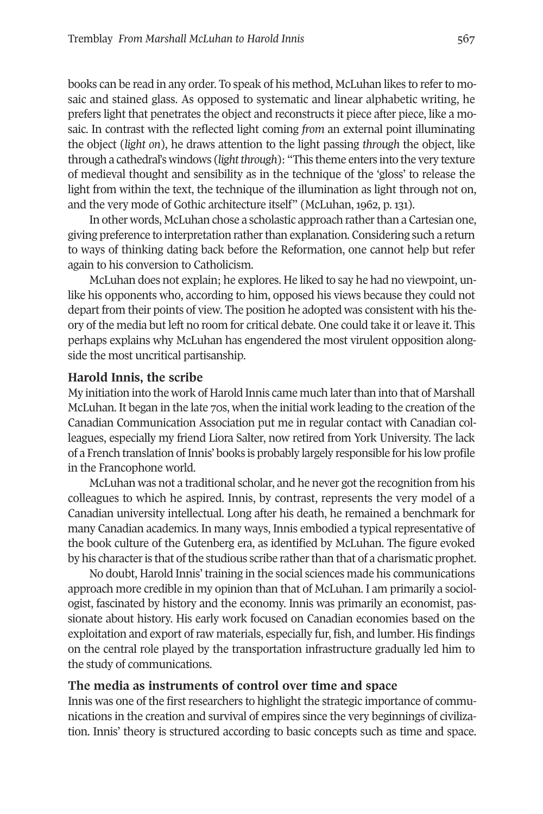books can be read in any order. To speak of his method, Mcluhan likes to referto mosaic and stained glass. As opposed to systematic and linear alphabetic writing, he prefers light that penetrates the object and reconstructs it piece after piece, like a mosaic. In contrast with the reflected light coming *from* an external point illuminating the object (*light on*), he draws attention to the light passing *through* the object, like through a cathedral's windows (*lightthrough*): "This theme enters into the very texture of medieval thought and sensibility as in the technique of the 'gloss' to release the light from within the text, the technique of the illumination as light through not on, and the very mode of Gothic architecture itself" (Mcluhan, 1962, p. 131).

In other words, McLuhan chose a scholastic approach rather than a Cartesian one, giving preference to interpretation rather than explanation. Considering such a return to ways of thinking dating back before the Reformation, one cannot help but refer again to his conversion to Catholicism.

Mcluhan does not explain; he explores. He liked to say he had no viewpoint, unlike his opponents who, according to him, opposed his views because they could not depart from their points of view. The position he adopted was consistent with his theory of the media but left no room for critical debate. one could take it orleave it. This perhaps explains why Mcluhan has engendered the most virulent opposition alongside the most uncritical partisanship.

### **Harold Innis, the scribe**

My initiation into the work of Harold Innis came much laterthan into that of Marshall Mcluhan. It began in the late 70s, when the initial work leading to the creation of the Canadian Communication Association put me in regular contact with Canadian colleagues, especially my friend liora Salter, now retired from york University. The lack of a French translation ofInnis' books is probably largely responsible for his low profile in the Francophone world.

Mcluhan was not a traditional scholar, and he never got the recognition from his colleagues to which he aspired. Innis, by contrast, represents the very model of a Canadian university intellectual. long after his death, he remained a benchmark for many Canadian academics. In many ways, Innis embodied a typical representative of the book culture of the Gutenberg era, as identified by Mcluhan. The figure evoked by his character is that of the studious scribe rather than that of a charismatic prophet.

No doubt, Harold Innis' training in the social sciences made his communications approach more credible in my opinion than that of Mcluhan. I am primarily a sociologist, fascinated by history and the economy. Innis was primarily an economist, passionate about history. His early work focused on Canadian economies based on the exploitation and export ofraw materials, especially fur, fish, and lumber. His findings on the central role played by the transportation infrastructure gradually led him to the study of communications.

# **The media as instruments of control over time and space**

Innis was one of the first researchers to highlight the strategic importance of communications in the creation and survival of empires since the very beginnings of civilization. Innis' theory is structured according to basic concepts such as time and space.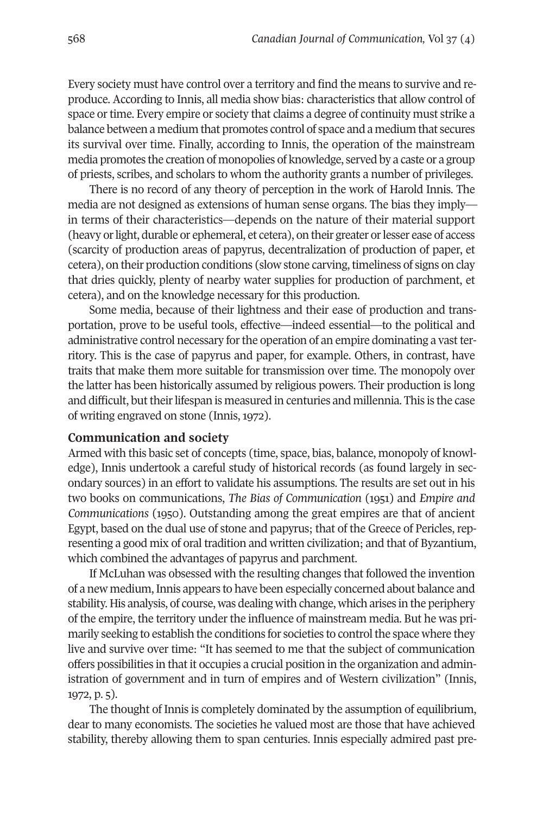Every society must have control over a territory and find the means to survive and reproduce. According to Innis, all media show bias: characteristics that allow control of space ortime. Every empire or society that claims a degree of continuity must strike a balance between a medium that promotes control of space and a medium that secures its survival over time. Finally, according to Innis, the operation of the mainstream media promotes the creation of monopolies of knowledge, served by a caste or a group of priests, scribes, and scholars to whom the authority grants a number of privileges.

There is no record of any theory of perception in the work of Harold Innis. The media are not designed as extensions of human sense organs. The bias they imply in terms of their characteristics—depends on the nature of their material support (heavy or light, durable or ephemeral, et cetera), on their greater or lesser ease of access (scarcity of production areas of papyrus, decentralization of production of paper, et cetera), on their production conditions (slow stone carving,timeliness of signs on clay that dries quickly, plenty of nearby water supplies for production of parchment, et cetera), and on the knowledge necessary for this production.

Some media, because of their lightness and their ease of production and transportation, prove to be useful tools, effective—indeed essential—to the political and administrative control necessary for the operation of an empire dominating a vast territory. This is the case of papyrus and paper, for example. others, in contrast, have traits that make them more suitable for transmission over time. The monopoly over the latter has been historically assumed by religious powers. Their production is long and difficult, but their lifespan is measured in centuries and millennia. This is the case of writing engraved on stone (Innis, 1972).

# **Communication and society**

Armed with this basic set of concepts (time, space, bias, balance, monopoly of knowledge), Innis undertook a careful study of historical records (as found largely in secondary sources) in an effort to validate his assumptions. The results are set out in his two books on communications, *The Bias of Communication* (1951) and *Empire and Communications* (1950). outstanding among the great empires are that of ancient Egypt, based on the dual use of stone and papyrus; that of the Greece of Pericles, representing a good mix of oral tradition and written civilization; and that of byzantium, which combined the advantages of papyrus and parchment.

If Mcluhan was obsessed with the resulting changes that followed the invention of a new medium,Innis appears to have been especially concerned about balance and stability. His analysis, of course, was dealing with change, which arises in the periphery of the empire, the territory under the influence of mainstream media. but he was primarily seeking to establish the conditions for societies to control the space where they live and survive over time: "It has seemed to me that the subject of communication offers possibilities in that it occupies a crucial position in the organization and administration of government and in turn of empires and of western civilization" (Innis, 1972, p. 5).

The thought of Innis is completely dominated by the assumption of equilibrium, dear to many economists. The societies he valued most are those that have achieved stability, thereby allowing them to span centuries. Innis especially admired past pre-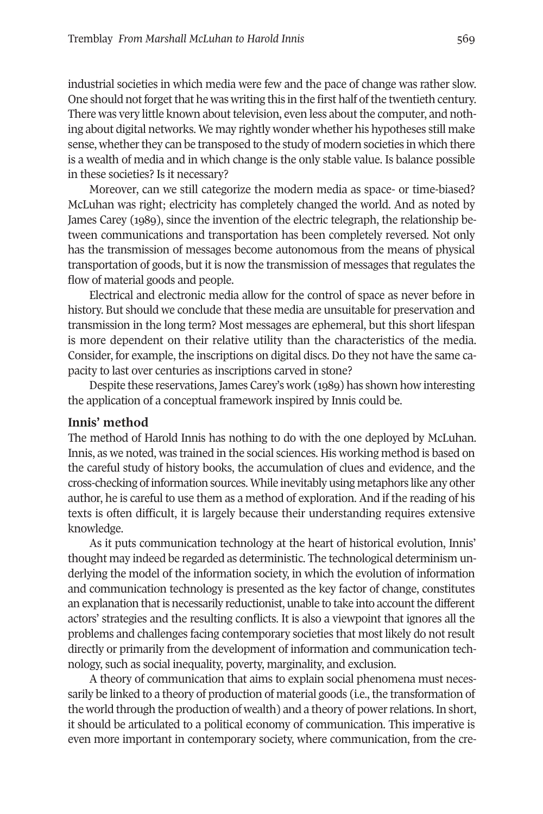industrial societies in which media were few and the pace of change was rather slow. One should not forget that he was writing this in the first half of the twentieth century. There was very little known about television, even less about the computer, and nothing about digital networks. we may rightly wonder whether his hypotheses still make sense, whether they can be transposed to the study of modern societies in which there is a wealth of media and in which change is the only stable value. Is balance possible in these societies? Is it necessary?

Moreover, can we still categorize the modern media as space- or time-biased? Mcluhan was right; electricity has completely changed the world. And as noted by James Carey (1989), since the invention of the electric telegraph, the relationship between communications and transportation has been completely reversed. Not only has the transmission of messages become autonomous from the means of physical transportation of goods, but it is now the transmission of messages that regulates the flow of material goods and people.

Electrical and electronic media allow for the control of space as never before in history. but should we conclude that these media are unsuitable for preservation and transmission in the long term? Most messages are ephemeral, but this short lifespan is more dependent on their relative utility than the characteristics of the media. Consider, for example, the inscriptions on digital discs. Do they not have the same capacity to last over centuries as inscriptions carved in stone?

Despite these reservations, James Carey's work (1989) has shown how interesting the application of a conceptual framework inspired by Innis could be.

# **Innis' method**

The method of Harold Innis has nothing to do with the one deployed by Mcluhan. Innis, as we noted, was trained in the social sciences. His working method is based on the careful study of history books, the accumulation of clues and evidence, and the cross-checking ofinformation sources. while inevitably using metaphors like any other author, he is careful to use them as a method of exploration. And if the reading of his texts is often difficult, it is largely because their understanding requires extensive knowledge.

As it puts communication technology at the heart of historical evolution, Innis' thought may indeed be regarded as deterministic. The technological determinism underlying the model of the information society, in which the evolution of information and communication technology is presented as the key factor of change, constitutes an explanation that is necessarily reductionist, unable to take into account the different actors' strategies and the resulting conflicts. It is also a viewpoint that ignores all the problems and challenges facing contemporary societies that most likely do not result directly or primarily from the development of information and communication technology, such as social inequality, poverty, marginality, and exclusion.

A theory of communication that aims to explain social phenomena must necessarily be linked to a theory of production of material goods (i.e., the transformation of the world through the production of wealth) and a theory of power relations. In short, it should be articulated to a political economy of communication. This imperative is even more important in contemporary society, where communication, from the cre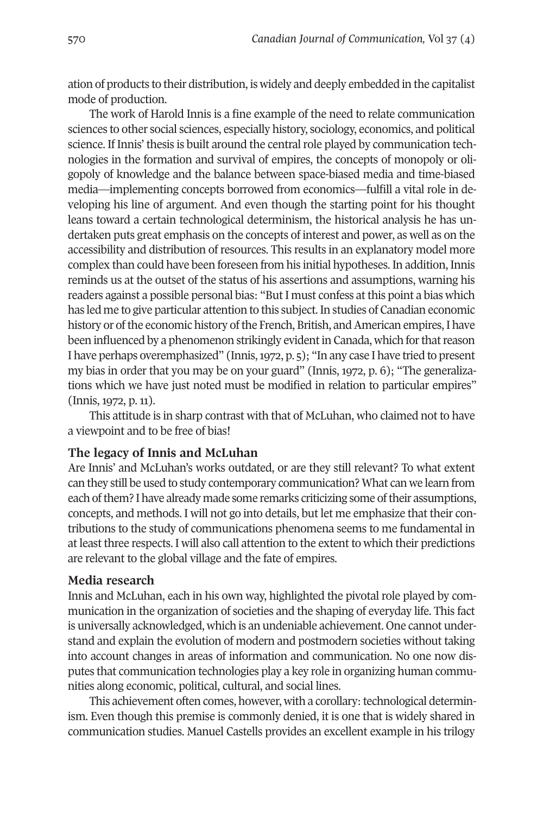ation of products to their distribution, is widely and deeply embedded in the capitalist mode of production.

The work of Harold Innis is a fine example of the need to relate communication sciences to other social sciences, especially history, sociology, economics, and political science. If Innis' thesis is built around the central role played by communication technologies in the formation and survival of empires, the concepts of monopoly or oligopoly of knowledge and the balance between space-biased media and time-biased media—implementing concepts borrowed from economics—fulfill a vital role in developing his line of argument. And even though the starting point for his thought leans toward a certain technological determinism, the historical analysis he has undertaken puts great emphasis on the concepts of interest and power, as well as on the accessibility and distribution of resources. This results in an explanatory model more complex than could have been foreseen from his initial hypotheses. In addition, Innis reminds us at the outset of the status of his assertions and assumptions, warning his readers against a possible personal bias: "but I must confess at this point a bias which has led me to give particular attention to this subject. In studies of Canadian economic history or of the economic history of the French, British, and American empires, I have been influenced by a phenomenon strikingly evident in Canada, which for that reason I have perhaps overemphasized" (Innis,1972, p. 5); "In any case I have tried to present my bias in order that you may be on your guard" (Innis, 1972, p. 6); "The generalizations which we have just noted must be modified in relation to particular empires" (Innis, 1972, p. 11).

This attitude is in sharp contrast with that of Mcluhan, who claimed not to have a viewpoint and to be free of bias!

# **The legacy of Innis and McLuhan**

Are Innis' and Mcluhan's works outdated, or are they still relevant? To what extent can they still be used to study contemporary communication? what can we learn from each of them? I have already made some remarks criticizing some of their assumptions, concepts, and methods. I will not go into details, but let me emphasize that their contributions to the study of communications phenomena seems to me fundamental in at least three respects. I will also call attention to the extent to which their predictions are relevant to the global village and the fate of empires.

# **Media research**

Innis and Mcluhan, each in his own way, highlighted the pivotal role played by communication in the organization of societies and the shaping of everyday life. This fact is universally acknowledged, which is an undeniable achievement. one cannot understand and explain the evolution of modern and postmodern societies without taking into account changes in areas of information and communication. No one now disputes that communication technologies play a key role in organizing human communities along economic, political, cultural, and social lines.

This achievement often comes, however, with a corollary: technological determinism. Even though this premise is commonly denied, it is one that is widely shared in communication studies. Manuel Castells provides an excellent example in his trilogy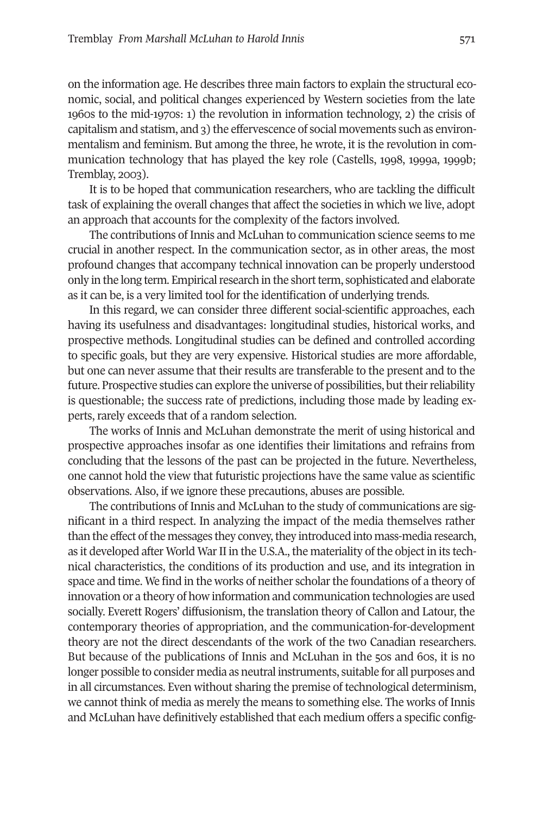on the information age. He describes three main factors to explain the structural economic, social, and political changes experienced by western societies from the late 1960s to the mid-1970s: 1) the revolution in information technology, 2) the crisis of capitalism and statism, and 3) the effervescence of social movements such as environmentalism and feminism. but among the three, he wrote, it is the revolution in communication technology that has played the key role (Castells, 1998, 1999a, 1999b; Tremblay, 2003).

It is to be hoped that communication researchers, who are tackling the difficult task of explaining the overall changes that affect the societies in which we live, adopt an approach that accounts for the complexity of the factors involved.

The contributions of Innis and Mcluhan to communication science seems to me crucial in another respect. In the communication sector, as in other areas, the most profound changes that accompany technical innovation can be properly understood only in the long term. Empirical research in the short term, sophisticated and elaborate as it can be, is a very limited tool for the identification of underlying trends.

In this regard, we can consider three different social-scientific approaches, each having its usefulness and disadvantages: longitudinal studies, historical works, and prospective methods. longitudinal studies can be defined and controlled according to specific goals, but they are very expensive. Historical studies are more affordable, but one can never assume that their results are transferable to the present and to the future. Prospective studies can explore the universe of possibilities, but their reliability is questionable; the success rate of predictions, including those made by leading experts, rarely exceeds that of a random selection.

The works of Innis and Mcluhan demonstrate the merit of using historical and prospective approaches insofar as one identifies their limitations and refrains from concluding that the lessons of the past can be projected in the future. Nevertheless, one cannot hold the view that futuristic projections have the same value as scientific observations. Also, if we ignore these precautions, abuses are possible.

The contributions of Innis and Mcluhan to the study of communications are significant in a third respect. In analyzing the impact of the media themselves rather than the effect of the messages they convey, they introduced into mass-media research, as it developed after World War II in the U.S.A., the materiality of the object in its technical characteristics, the conditions of its production and use, and its integration in space and time. We find in the works of neither scholar the foundations of a theory of innovation or a theory of how information and communication technologies are used socially. Everett Rogers' diffusionism, the translation theory of Callon and latour, the contemporary theories of appropriation, and the communication-for-development theory are not the direct descendants of the work of the two Canadian researchers. but because of the publications of Innis and Mcluhan in the 50s and 60s, it is no longer possible to consider media as neutral instruments, suitable for all purposes and in all circumstances. Even without sharing the premise of technological determinism, we cannot think of media as merely the means to something else. The works of Innis and Mcluhan have definitively established that each medium offers a specific config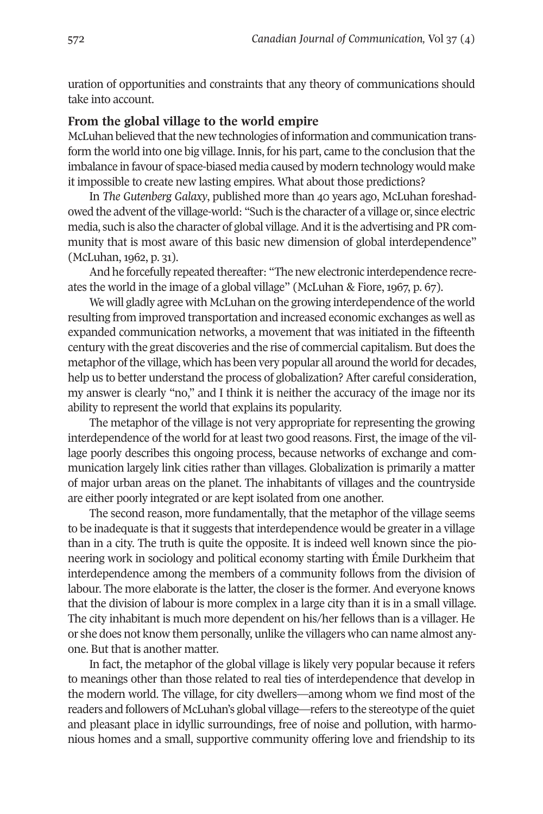uration of opportunities and constraints that any theory of communications should take into account.

## **From the global village to the world empire**

McLuhan believed that the new technologies of information and communication transform the world into one big village. Innis, for his part, came to the conclusion that the imbalance in favour of space-biased media caused by modern technology would make it impossible to create new lasting empires. what about those predictions?

In *The Gutenberg Galaxy*, published more than 40 years ago, Mcluhan foreshadowed the advent of the village-world: "Such is the character of a village or, since electric media, such is also the character of global village.And itis the advertising and PR community that is most aware of this basic new dimension of global interdependence" (Mcluhan, 1962, p. 31).

And he forcefully repeated thereafter: "The new electronic interdependence recreates the world in the image of a global village" (Mcluhan & Fiore, 1967, p. 67).

we will gladly agree with Mcluhan on the growing interdependence of the world resulting from improved transportation and increased economic exchanges as well as expanded communication networks, a movement that was initiated in the fifteenth century with the great discoveries and the rise of commercial capitalism. but does the metaphor of the village, which has been very popular all around the world for decades, help us to better understand the process of globalization? After careful consideration, my answer is clearly "no," and I think it is neither the accuracy of the image nor its ability to represent the world that explains its popularity.

The metaphor of the village is not very appropriate for representing the growing interdependence of the world for at least two good reasons. First, the image of the village poorly describes this ongoing process, because networks of exchange and communication largely link cities rather than villages. Globalization is primarily a matter of major urban areas on the planet. The inhabitants of villages and the countryside are either poorly integrated or are kept isolated from one another.

The second reason, more fundamentally, that the metaphor of the village seems to be inadequate is that it suggests that interdependence would be greaterin a village than in a city. The truth is quite the opposite. It is indeed well known since the pioneering work in sociology and political economy starting with Émile Durkheim that interdependence among the members of a community follows from the division of labour. The more elaborate is the latter, the closeris the former. And everyone knows that the division of labour is more complex in a large city than it is in a small village. The city inhabitant is much more dependent on his/her fellows than is a villager. He or she does not know them personally, unlike the villagers who can name almost anyone. but that is another matter.

In fact, the metaphor of the global village is likely very popular because it refers to meanings other than those related to real ties of interdependence that develop in the modern world. The village, for city dwellers—among whom we find most of the readers and followers of Mcluhan's global village—refers to the stereotype ofthe quiet and pleasant place in idyllic surroundings, free of noise and pollution, with harmonious homes and a small, supportive community offering love and friendship to its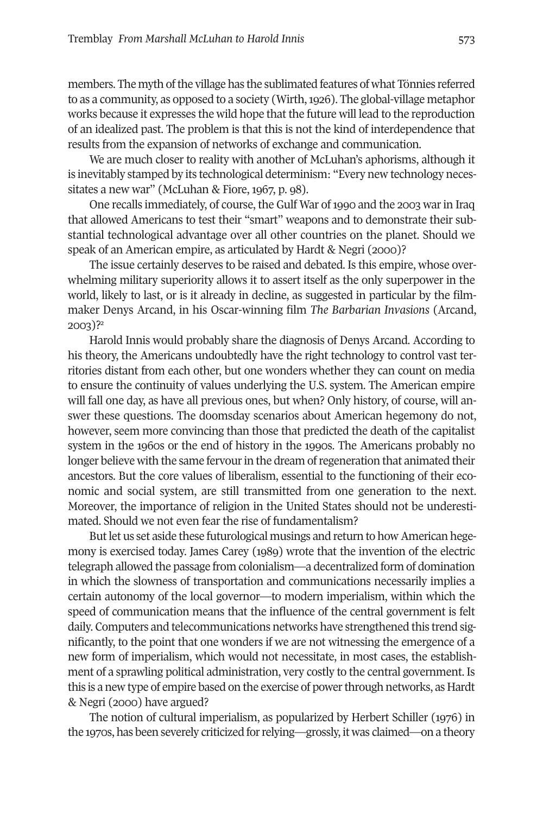members. The myth of the village has the sublimated features of what Tönnies referred to as a community, as opposed to a society (wirth,1926). The global-village metaphor works because it expresses the wild hope that the future will lead to the reproduction of an idealized past. The problem is that this is not the kind of interdependence that results from the expansion of networks of exchange and communication.

We are much closer to reality with another of McLuhan's aphorisms, although it is inevitably stamped by its technological determinism: "Every new technology necessitates a new war" (Mcluhan & Fiore, 1967, p. 98).

One recalls immediately, of course, the Gulf War of 1990 and the 2003 war in Iraq that allowed Americans to test their "smart" weapons and to demonstrate their substantial technological advantage over all other countries on the planet. Should we speak of an American empire, as articulated by Hardt & Negri (2000)?

The issue certainly deserves to be raised and debated. Is this empire, whose overwhelming military superiority allows it to assert itself as the only superpower in the world, likely to last, or is it already in decline, as suggested in particular by the filmmaker denys Arcand, in his oscar-winning film *The Barbarian Invasions* (Arcand, 2003)?2

Harold Innis would probably share the diagnosis of denys Arcand. According to his theory, the Americans undoubtedly have the right technology to control vast territories distant from each other, but one wonders whether they can count on media to ensure the continuity of values underlying the U.S. system. The American empire will fall one day, as have all previous ones, but when? only history, of course, will answer these questions. The doomsday scenarios about American hegemony do not, however, seem more convincing than those that predicted the death of the capitalist system in the 1960s or the end of history in the 1990s. The Americans probably no longer believe with the same fervour in the dream of regeneration that animated their ancestors. but the core values of liberalism, essential to the functioning of their economic and social system, are still transmitted from one generation to the next. Moreover, the importance of religion in the United States should not be underestimated. Should we not even fear the rise of fundamentalism?

butlet us set aside these futurological musings and return to how American hegemony is exercised today. James Carey (1989) wrote that the invention of the electric telegraph allowed the passage from colonialism—a decentralized form of domination in which the slowness of transportation and communications necessarily implies a certain autonomy of the local governor—to modern imperialism, within which the speed of communication means that the influence of the central government is felt daily. Computers and telecommunications networks have strengthened this trend significantly, to the point that one wonders if we are not witnessing the emergence of a new form of imperialism, which would not necessitate, in most cases, the establishment of a sprawling political administration, very costly to the central government. Is this is a new type of empire based on the exercise of power through networks, as Hardt & Negri (2000) have argued?

The notion of cultural imperialism, as popularized by Herbert Schiller (1976) in the 1970s, has been severely criticized forrelying—grossly, it was claimed—on a theory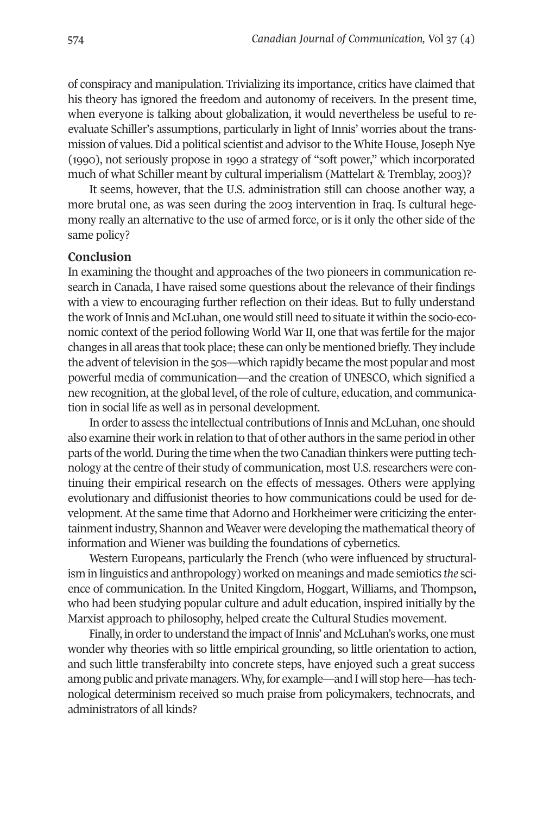of conspiracy and manipulation. Trivializing its importance, critics have claimed that his theory has ignored the freedom and autonomy of receivers. In the present time, when everyone is talking about globalization, it would nevertheless be useful to reevaluate Schiller's assumptions, particularly in light of Innis' worries about the transmission of values. Did a political scientist and advisor to the White House, Joseph Nye (1990), not seriously propose in 1990 a strategy of "soft power," which incorporated much of what Schiller meant by cultural imperialism (Mattelart & Tremblay, 2003)?

It seems, however, that the U.S. administration still can choose another way, a more brutal one, as was seen during the 2003 intervention in Iraq. Is cultural hegemony really an alternative to the use of armed force, or is it only the other side of the same policy?

#### **Conclusion**

In examining the thought and approaches of the two pioneers in communication research in Canada, I have raised some questions about the relevance of their findings with a view to encouraging further reflection on their ideas. but to fully understand the work of Innis and McLuhan, one would still need to situate it within the socio-economic context of the period following world war II, one that was fertile for the major changes in all areas that took place; these can only be mentioned briefly. They include the advent of television in the 50s—which rapidly became the most popular and most powerful media of communication—and the creation of UNESCo, which signified a new recognition, at the global level, of the role of culture, education, and communication in social life as well as in personal development.

In order to assess the intellectual contributions of Innis and McLuhan, one should also examine their work in relation to that of other authors in the same period in other parts of the world. During the time when the two Canadian thinkers were putting technology at the centre of their study of communication, most U.S.researchers were continuing their empirical research on the effects of messages. others were applying evolutionary and diffusionist theories to how communications could be used for development. At the same time that Adorno and Horkheimer were criticizing the entertainment industry, Shannon and Weaver were developing the mathematical theory of information and wiener was building the foundations of cybernetics.

western Europeans, particularly the French (who were influenced by structuralism in linguistics and anthropology) worked on meanings and made semiotics *the* science of communication. In the United Kingdom, Hoggart, williams, and Thompson**,** who had been studying popular culture and adult education, inspired initially by the Marxist approach to philosophy, helped create the Cultural Studies movement.

Finally, in order to understand the impact of Innis' and McLuhan's works, one must wonder why theories with so little empirical grounding, so little orientation to action, and such little transferabilty into concrete steps, have enjoyed such a great success among public and private managers. Why, for example—and I will stop here—has technological determinism received so much praise from policymakers, technocrats, and administrators of all kinds?